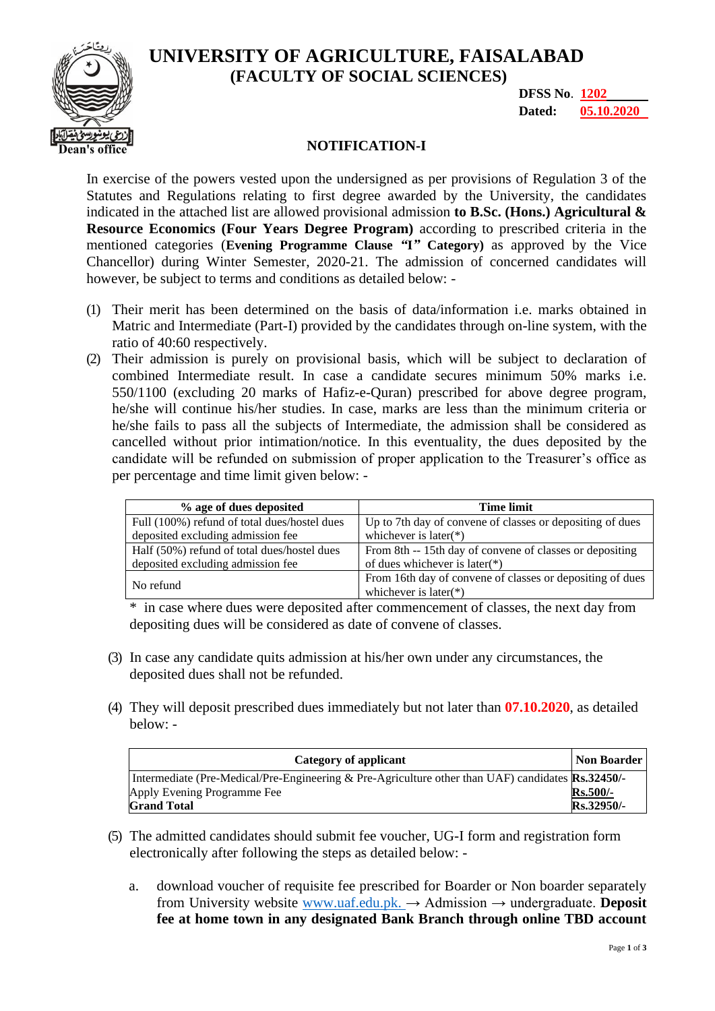**UNIVERSITY OF AGRICULTURE, FAISALABAD (FACULTY OF SOCIAL SCIENCES)**



**DFSS No**. **1202 Dated: 05.10.2020**

## **NOTIFICATION-I**

In exercise of the powers vested upon the undersigned as per provisions of Regulation 3 of the Statutes and Regulations relating to first degree awarded by the University, the candidates indicated in the attached list are allowed provisional admission **to B.Sc. (Hons.) Agricultural & Resource Economics (Four Years Degree Program)** according to prescribed criteria in the mentioned categories (**Evening Programme Clause** *"***I***"* **Category)** as approved by the Vice Chancellor) during Winter Semester, 2020-21. The admission of concerned candidates will however, be subject to terms and conditions as detailed below: -

- (1) Their merit has been determined on the basis of data/information i.e. marks obtained in Matric and Intermediate (Part-I) provided by the candidates through on-line system, with the ratio of 40:60 respectively.
- (2) Their admission is purely on provisional basis, which will be subject to declaration of combined Intermediate result. In case a candidate secures minimum 50% marks i.e. 550/1100 (excluding 20 marks of Hafiz-e-Quran) prescribed for above degree program, he/she will continue his/her studies. In case, marks are less than the minimum criteria or he/she fails to pass all the subjects of Intermediate, the admission shall be considered as cancelled without prior intimation/notice. In this eventuality, the dues deposited by the candidate will be refunded on submission of proper application to the Treasurer's office as per percentage and time limit given below: -

| % age of dues deposited                      | Time limit                                                |
|----------------------------------------------|-----------------------------------------------------------|
| Full (100%) refund of total dues/hostel dues | Up to 7th day of convene of classes or depositing of dues |
| deposited excluding admission fee            | whichever is later( $*$ )                                 |
| Half (50%) refund of total dues/hostel dues  | From 8th -- 15th day of convene of classes or depositing  |
| deposited excluding admission fee            | of dues whichever is later(*)                             |
| No refund                                    | From 16th day of convene of classes or depositing of dues |
|                                              | whichever is later(*)                                     |

\* in case where dues were deposited after commencement of classes, the next day from depositing dues will be considered as date of convene of classes.

- (3) In case any candidate quits admission at his/her own under any circumstances, the deposited dues shall not be refunded.
- (4) They will deposit prescribed dues immediately but not later than **07.10.2020**, as detailed below: -

| Category of applicant                                                                                    |                 |
|----------------------------------------------------------------------------------------------------------|-----------------|
| Intermediate (Pre-Medical/Pre-Engineering & Pre-Agriculture other than UAF) candidates <b>Rs.32450/-</b> |                 |
| Apply Evening Programme Fee                                                                              | <b>Rs.500/-</b> |
| <b>Grand Total</b>                                                                                       | Rs.32950/-      |

- (5) The admitted candidates should submit fee voucher, UG-I form and registration form electronically after following the steps as detailed below:
	- a. download voucher of requisite fee prescribed for Boarder or Non boarder separately from University website [www.uaf.edu.pk. →](http://www.uaf.edu.pk/) Admission → undergraduate. **Deposit fee at home town in any designated Bank Branch through online TBD account**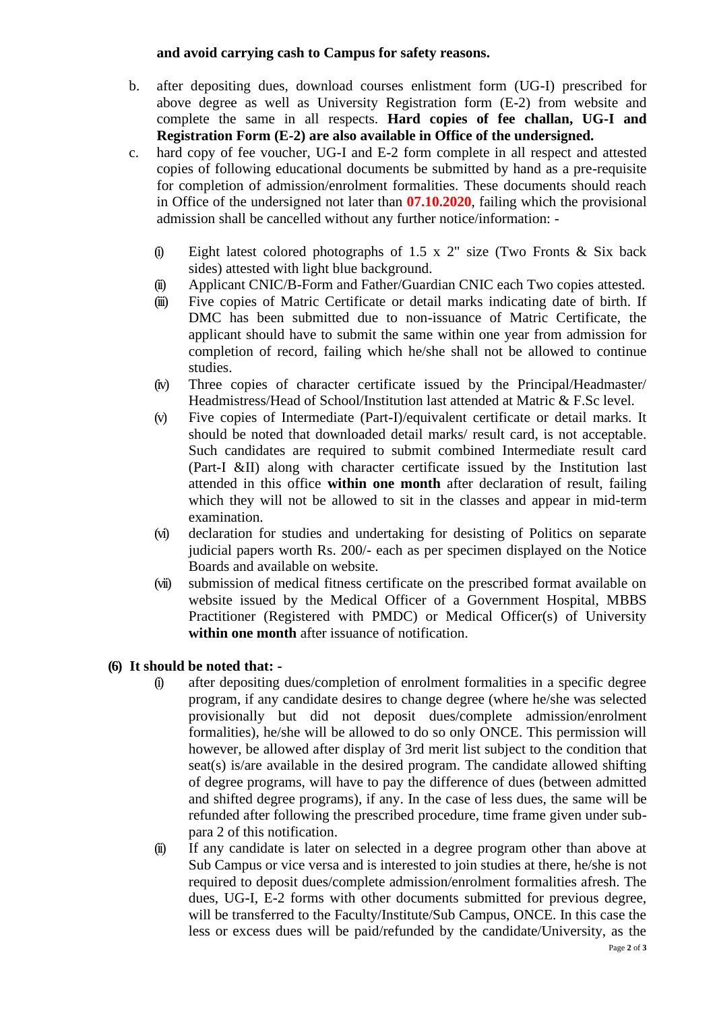## **and avoid carrying cash to Campus for safety reasons.**

- b. after depositing dues, download courses enlistment form (UG-I) prescribed for above degree as well as University Registration form (E-2) from website and complete the same in all respects. **Hard copies of fee challan, UG-I and Registration Form (E-2) are also available in Office of the undersigned.**
- c. hard copy of fee voucher, UG-I and E-2 form complete in all respect and attested copies of following educational documents be submitted by hand as a pre-requisite for completion of admission/enrolment formalities. These documents should reach in Office of the undersigned not later than **07.10.2020**, failing which the provisional admission shall be cancelled without any further notice/information: -
	- (i) Eight latest colored photographs of 1.5 x 2" size (Two Fronts & Six back sides) attested with light blue background.
	- (ii) Applicant CNIC/B-Form and Father/Guardian CNIC each Two copies attested.
	- (iii) Five copies of Matric Certificate or detail marks indicating date of birth. If DMC has been submitted due to non-issuance of Matric Certificate, the applicant should have to submit the same within one year from admission for completion of record, failing which he/she shall not be allowed to continue studies.
	- (iv) Three copies of character certificate issued by the Principal/Headmaster/ Headmistress/Head of School/Institution last attended at Matric & F.Sc level.
	- (v) Five copies of Intermediate (Part-I)/equivalent certificate or detail marks. It should be noted that downloaded detail marks/ result card, is not acceptable. Such candidates are required to submit combined Intermediate result card (Part-I &II) along with character certificate issued by the Institution last attended in this office **within one month** after declaration of result, failing which they will not be allowed to sit in the classes and appear in mid-term examination.
	- (vi) declaration for studies and undertaking for desisting of Politics on separate judicial papers worth Rs. 200/- each as per specimen displayed on the Notice Boards and available on website.
	- (vii) submission of medical fitness certificate on the prescribed format available on website issued by the Medical Officer of a Government Hospital, MBBS Practitioner (Registered with PMDC) or Medical Officer(s) of University **within one month** after issuance of notification.

## **(6) It should be noted that: -**

- (i) after depositing dues/completion of enrolment formalities in a specific degree program, if any candidate desires to change degree (where he/she was selected provisionally but did not deposit dues/complete admission/enrolment formalities), he/she will be allowed to do so only ONCE. This permission will however, be allowed after display of 3rd merit list subject to the condition that seat(s) is/are available in the desired program. The candidate allowed shifting of degree programs, will have to pay the difference of dues (between admitted and shifted degree programs), if any. In the case of less dues, the same will be refunded after following the prescribed procedure, time frame given under subpara 2 of this notification.
- (ii) If any candidate is later on selected in a degree program other than above at Sub Campus or vice versa and is interested to join studies at there, he/she is not required to deposit dues/complete admission/enrolment formalities afresh. The dues, UG-I, E-2 forms with other documents submitted for previous degree, will be transferred to the Faculty/Institute/Sub Campus, ONCE. In this case the less or excess dues will be paid/refunded by the candidate/University, as the